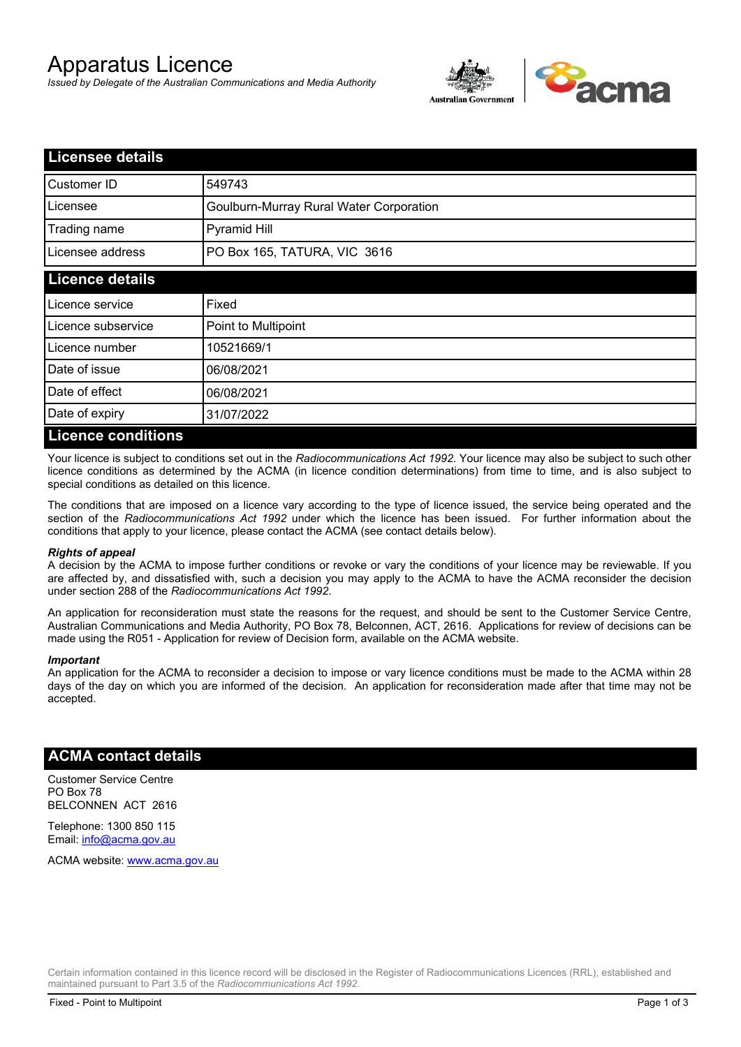# Apparatus Licence

*Issued by Delegate of the Australian Communications and Media Authority*



| <b>Licensee details</b>   |                                         |  |
|---------------------------|-----------------------------------------|--|
| Customer ID               | 549743                                  |  |
| Licensee                  | Goulburn-Murray Rural Water Corporation |  |
| Trading name              | Pyramid Hill                            |  |
| Licensee address          | PO Box 165, TATURA, VIC 3616            |  |
| <b>Licence details</b>    |                                         |  |
| Licence service           | Fixed                                   |  |
| Licence subservice        | Point to Multipoint                     |  |
| Licence number            | 10521669/1                              |  |
| Date of issue             | 06/08/2021                              |  |
| Date of effect            | 06/08/2021                              |  |
| Date of expiry            | 31/07/2022                              |  |
| <b>Licence conditions</b> |                                         |  |

Your licence is subject to conditions set out in the *Radiocommunications Act 1992*. Your licence may also be subject to such other licence conditions as determined by the ACMA (in licence condition determinations) from time to time, and is also subject to special conditions as detailed on this licence.

The conditions that are imposed on a licence vary according to the type of licence issued, the service being operated and the section of the *Radiocommunications Act 1992* under which the licence has been issued. For further information about the conditions that apply to your licence, please contact the ACMA (see contact details below).

### *Rights of appeal*

A decision by the ACMA to impose further conditions or revoke or vary the conditions of your licence may be reviewable. If you are affected by, and dissatisfied with, such a decision you may apply to the ACMA to have the ACMA reconsider the decision under section 288 of the *Radiocommunications Act 1992*.

An application for reconsideration must state the reasons for the request, and should be sent to the Customer Service Centre, Australian Communications and Media Authority, PO Box 78, Belconnen, ACT, 2616. Applications for review of decisions can be made using the R051 - Application for review of Decision form, available on the ACMA website.

#### *Important*

An application for the ACMA to reconsider a decision to impose or vary licence conditions must be made to the ACMA within 28 days of the day on which you are informed of the decision. An application for reconsideration made after that time may not be accepted.

## **ACMA contact details**

Customer Service Centre PO Box 78 BELCONNEN ACT 2616

Telephone: 1300 850 115 Email: info@acma.gov.au

ACMA website: www.acma.gov.au

Certain information contained in this licence record will be disclosed in the Register of Radiocommunications Licences (RRL), established and maintained pursuant to Part 3.5 of the *Radiocommunications Act 1992.*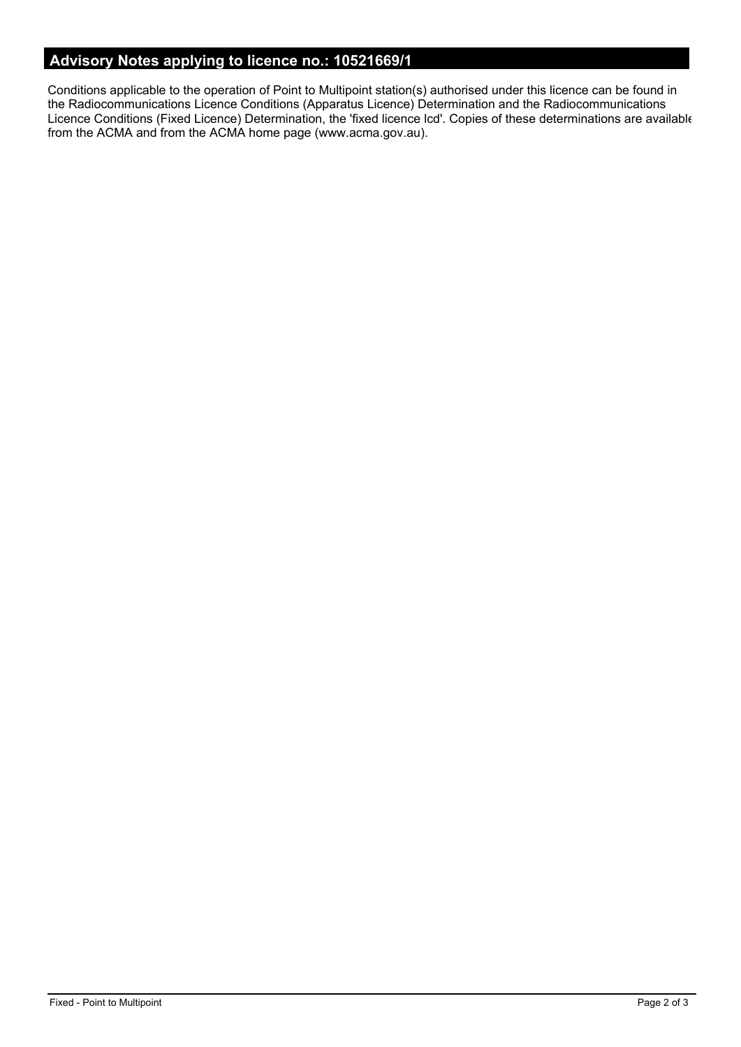# **Advisory Notes applying to licence no.: 10521669/1**

Conditions applicable to the operation of Point to Multipoint station(s) authorised under this licence can be found in the Radiocommunications Licence Conditions (Apparatus Licence) Determination and the Radiocommunications Licence Conditions (Fixed Licence) Determination, the 'fixed licence lcd'. Copies of these determinations are available from the ACMA and from the ACMA home page (www.acma.gov.au).